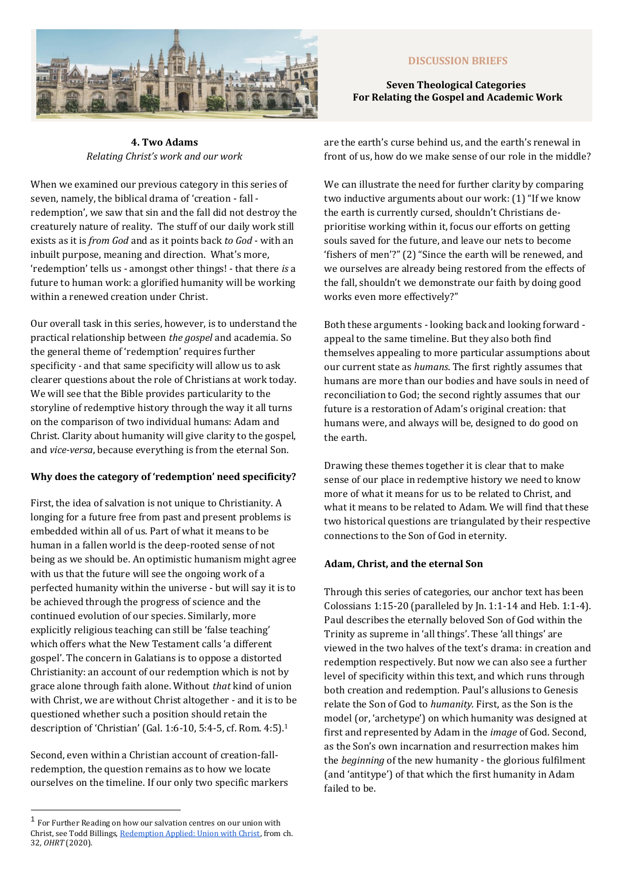

#### **DISCUSSION BRIEFS**

#### **Seven Theological Categories For Relating the Gospel and Academic Work**

**4. Two Adams** *Relating Christ's work and our work* 

When we examined our previous category in this series of seven, namely, the biblical drama of 'creation - fall redemption', we saw that sin and the fall did not destroy the creaturely nature of reality. The stuff of our daily work still exists as it is *from God* and as it points back *to God* - with an inbuilt purpose, meaning and direction. What's more, 'redemption' tells us - amongst other things! - that there *is* a future to human work: a glorified humanity will be working within a renewed creation under Christ.

Our overall task in this series, however, is to understand the practical relationship between *the gospel* and academia. So the general theme of 'redemption' requires further specificity - and that same specificity will allow us to ask clearer questions about the role of Christians at work today. We will see that the Bible provides particularity to the storyline of redemptive history through the way it all turns on the comparison of two individual humans: Adam and Christ. Clarity about humanity will give clarity to the gospel, and *vice-versa*, because everything is from the eternal Son.

### **Why does the category of 'redemption' need specificity?**

First, the idea of salvation is not unique to Christianity. A longing for a future free from past and present problems is embedded within all of us. Part of what it means to be human in a fallen world is the deep-rooted sense of not being as we should be. An optimistic humanism might agree with us that the future will see the ongoing work of a perfected humanity within the universe - but will say it is to be achieved through the progress of science and the continued evolution of our species. Similarly, more explicitly religious teaching can still be 'false teaching' which offers what the New Testament calls 'a different gospel'. The concern in Galatians is to oppose a distorted Christianity: an account of our redemption which is not by grace alone through faith alone. Without *that* kind of union with Christ, we are without Christ altogether - and it is to be questioned whether such a position should retain the description of 'Christian' (Gal. 1:6-10, 5:4-5, cf. Rom. 4:5).<sup>1</sup>

Second, even within a Christian account of creation-fallredemption, the question remains as to how we locate ourselves on the timeline. If our only two specific markers are the earth's curse behind us, and the earth's renewal in front of us, how do we make sense of our role in the middle?

We can illustrate the need for further clarity by comparing two inductive arguments about our work: (1) "If we know the earth is currently cursed, shouldn't Christians deprioritise working within it, focus our efforts on getting souls saved for the future, and leave our nets to become 'fishers of men'?" (2) "Since the earth will be renewed, and we ourselves are already being restored from the effects of the fall, shouldn't we demonstrate our faith by doing good works even more effectively?"

Both these arguments - looking back and looking forward appeal to the same timeline. But they also both find themselves appealing to more particular assumptions about our current state as *humans*. The first rightly assumes that humans are more than our bodies and have souls in need of reconciliation to God; the second rightly assumes that our future is a restoration of Adam's original creation: that humans were, and always will be, designed to do good on the earth.

Drawing these themes together it is clear that to make sense of our place in redemptive history we need to know more of what it means for us to be related to Christ, and what it means to be related to Adam. We will find that these two historical questions are triangulated by their respective connections to the Son of God in eternity.

# **Adam, Christ, and the eternal Son**

Through this series of categories, our anchor text has been Colossians 1:15-20 (paralleled by Jn. 1:1-14 and Heb. 1:1-4). Paul describes the eternally beloved Son of God within the Trinity as supreme in 'all things'. These 'all things' are viewed in the two halves of the text's drama: in creation and redemption respectively. But now we can also see a further level of specificity within this text, and which runs through both creation and redemption. Paul's allusions to Genesis relate the Son of God to *humanity.* First, as the Son is the model (or, 'archetype') on which humanity was designed at first and represented by Adam in the *image* of God. Second, as the Son's own incarnation and resurrection makes him the *beginning* of the new humanity - the glorious fulfilment (and 'antitype') of that which the first humanity in Adam failed to be.

<sup>1</sup> For Further Reading on how our salvation centres on our union with Christ, see Todd Billings[, Redemption Applied: Union with Christ,](https://www.scottrswain.com/2020/12/01/redemption-applied-union-with-christ-excerpts-from-the-ohrt/) from ch. 32, *OHRT* (2020).